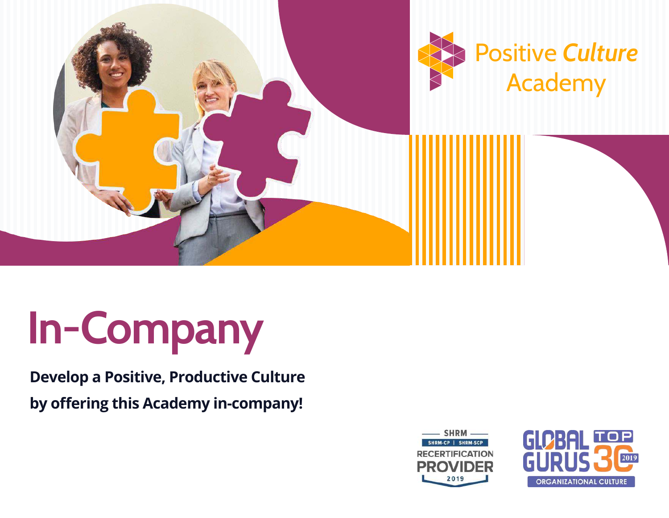

# **In-Company**

### **Develop a Positive, Productive Culture by offering this Academy in-company!**



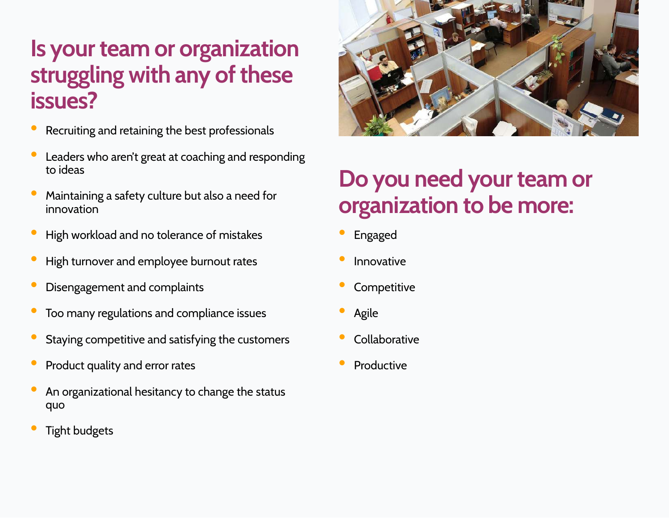## **Is your team or organization struggling with any of these issues?**

- Recruiting and retaining the best professionals
- Leaders who aren't great at coaching and responding to ideas
- Maintaining a safety culture but also a need for innovation
- High workload and no tolerance of mistakes
- High turnover and employee burnout rates
- Disengagement and complaints
- Too many regulations and compliance issues
- Staying competitive and satisfying the customers
- Product quality and error rates
- An organizational hesitancy to change the status quo
- Tight budgets



# **Do you need your team or organization to be more:**

- Engaged
- Innovative
- Competitive
- Agile
- Collaborative
- Productive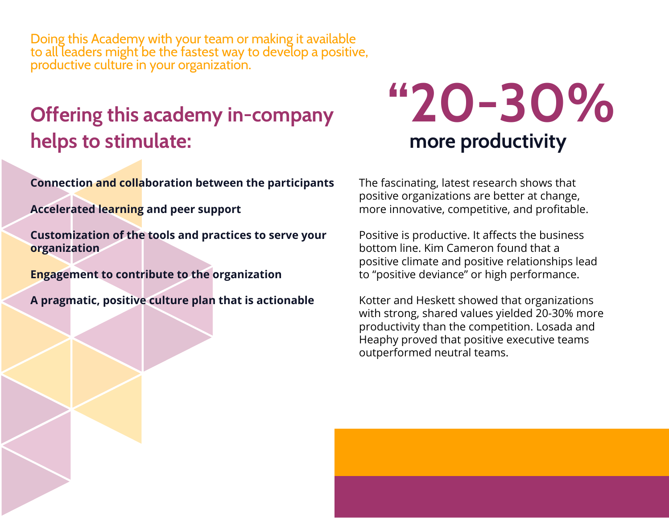Doing this Academy with your team or making it available to all leaders might be the fastest way to develop a positive, productive culture in your organization.

## **Offering this academy in-company helps to stimulate:**

**Connection and collaboration between the participants**

**Accelerated learning and peer support**

**Customization of the tools and practices to serve your organization**

**Engagement to contribute to the organization**

**A pragmatic, positive culture plan that is actionable**

# **"20-30% more productivity**

The fascinating, latest research shows that positive organizations are better at change, more innovative, competitive, and profitable.

Positive is productive. It affects the business bottom line. Kim Cameron found that a positive climate and positive relationships lead to "positive deviance" or high performance.

Kotter and Heskett showed that organizations with strong, shared values yielded 20-30% more productivity than the competition. Losada and Heaphy proved that positive executive teams outperformed neutral teams.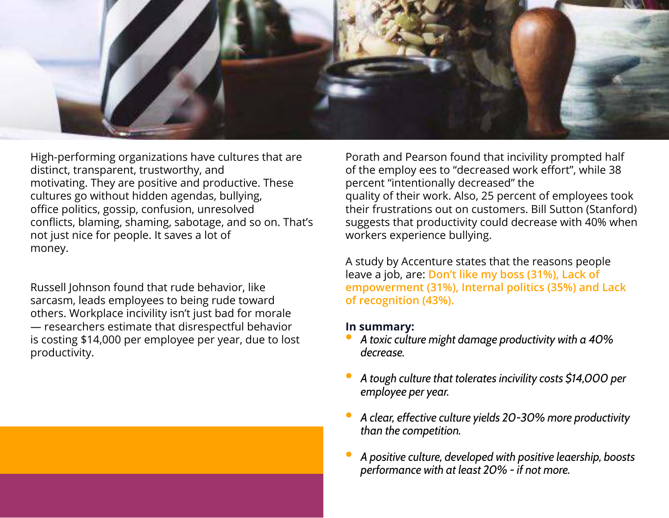

High-performing organizations have cultures that are distinct, transparent, trustworthy, and motivating. They are positive and productive. These cultures go without hidden agendas, bullying, office politics, gossip, confusion, unresolved conflicts, blaming, shaming, sabotage, and so on. That's not just nice for people. It saves a lot of money.

Russell Johnson found that rude behavior, like sarcasm, leads employees to being rude toward others. Workplace incivility isn't just bad for morale — researchers estimate that disrespectful behavior is costing \$14,000 per employee per year, due to lost productivity.

Porath and Pearson found that incivility prompted half of the employ ees to "decreased work effort", while 38 percent "intentionally decreased" the quality of their work. Also, 25 percent of employees took their frustrations out on customers. Bill Sutton (Stanford) suggests that productivity could decrease with 40% when workers experience bullying.

A study by Accenture states that the reasons people leave a job, are: **Don't like my boss (31%), Lack of empowerment (31%), Internal politics (35%) and Lack of recognition (43%).**

#### **In summary:**

- *A toxic culture might damage productivity with a 40% decrease.*
- *A tough culture that tolerates incivility costs \$14,000 per employee per year.*
- *A clear, effective culture yields 20-30% more productivity than the competition.*
- *A positive culture, developed with positive leaership, boosts performance with at least 20% - if not more.*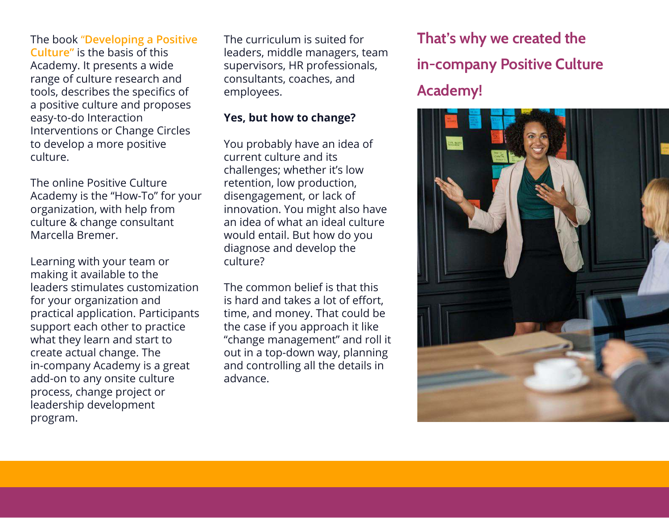The book "**Developing a Positive Culture"** is the basis of this Academy. It presents a wide range of culture research and tools, describes the specifics of a positive culture and proposes easy-to-do Interaction Interventions or Change Circles to develop a more positive culture.

The online Positive Culture Academy is the "How-To" for your organization, with help from culture & change consultant Marcella Bremer.

Learning with your team or making it available to the leaders stimulates customization for your organization and practical application. Participants support each other to practice what they learn and start to create actual change. The in-company Academy is a great add-on to any onsite culture process, change project or leadership development program.

The curriculum is suited for leaders, middle managers, team supervisors, HR professionals, consultants, coaches, and employees.

#### **Yes, but how to change?**

You probably have an idea of current culture and its challenges; whether it's low retention, low production, disengagement, or lack of innovation. You might also have an idea of what an ideal culture would entail. But how do you diagnose and develop the culture?

The common belief is that this is hard and takes a lot of effort, time, and money. That could be the case if you approach it like "change management" and roll it out in a top-down way, planning and controlling all the details in advance.

**That's why we created the in-company Positive Culture Academy!**

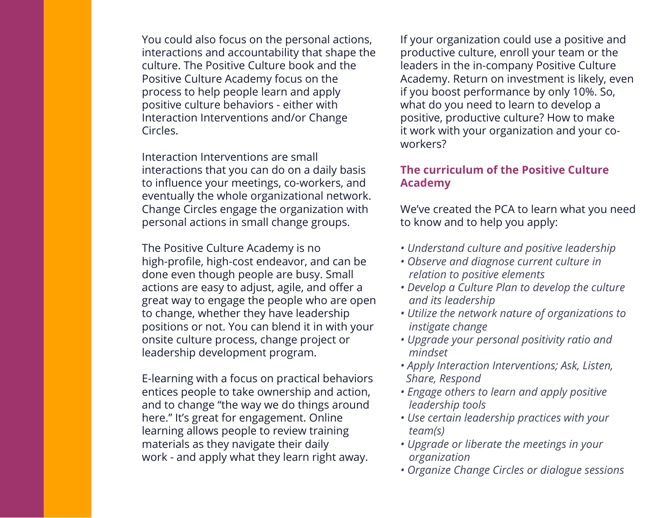You could also focus on the personal actions, interactions and accountability that shape the culture. The Positive Culture book and the Positive Culture Academy focus on the process to help people learn and apply positive culture behaviors - either with Interaction Interventions and/or Change Circles.

Interaction Interventions are small interactions that you can do on a daily basis to influence your meetings, co-workers, and eventually the whole organizational network. Change Circles engage the organization with personal actions in small change groups.

The Positive Culture Academy is no high-profile, high-cost endeavor, and can be done even though people are busy. Small actions are easy to adjust, agile, and offer a great way to engage the people who are open to change, whether they have leadership positions or not. You can blend it in with your onsite culture process, change project or leadership development program.

E-learning with a focus on practical behaviors entices people to take ownership and action, and to change "the way we do things around here." It's great for engagement. Online learning allows people to review training materials as they navigate their daily work - and apply what they learn right away.

If your organization could use a positive and productive culture, enroll your team or the leaders in the in-company Positive Culture Academy. Return on investment is likely, even if you boost performance by only 10%. So, what do you need to learn to develop a positive, productive culture? How to make it work with your organization and your coworkers?

#### **The curriculum of the Positive Culture Academy**

We've created the PCA to learn what you need to know and to help you apply:

- *Understand culture and positive leadership*
- *Observe and diagnose current culture in relation to positive elements*
- *Develop a Culture Plan to develop the culture and its leadership*
- *Utilize the network nature of organizations to instigate change*
- *Upgrade your personal positivity ratio and mindset*
- *Apply Interaction Interventions; Ask, Listen, Share, Respond*
- *Engage others to learn and apply positive leadership tools*
- *Use certain leadership practices with your team(s)*
- *Upgrade or liberate the meetings in your organization*
- *Organize Change Circles or dialogue sessions*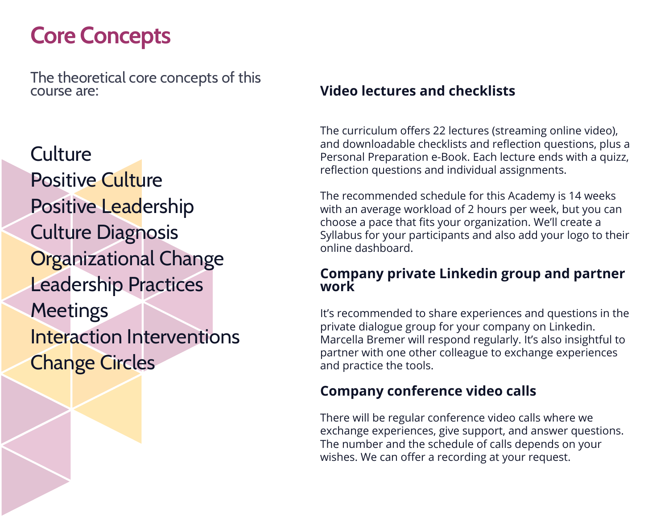# **Core Concepts**

The theoretical core concepts of this course are:

**Culture** Positive Culture Positive Leadership Culture Diagnosis **Organizational Change** Leadership Practices **Meetings** Interaction Interventions Change Circles

#### **Video lectures and checklists**

The curriculum offers 22 lectures (streaming online video), and downloadable checklists and reflection questions, plus a Personal Preparation e-Book. Each lecture ends with a quizz, reflection questions and individual assignments.

The recommended schedule for this Academy is 14 weeks with an average workload of 2 hours per week, but you can choose a pace that fits your organization. We'll create a Syllabus for your participants and also add your logo to their online dashboard.

#### **Company private Linkedin group and partner work**

It's recommended to share experiences and questions in the private dialogue group for your company on Linkedin. Marcella Bremer will respond regularly. It's also insightful to partner with one other colleague to exchange experiences and practice the tools.

#### **Company conference video calls**

There will be regular conference video calls where we exchange experiences, give support, and answer questions. The number and the schedule of calls depends on your wishes. We can offer a recording at your request.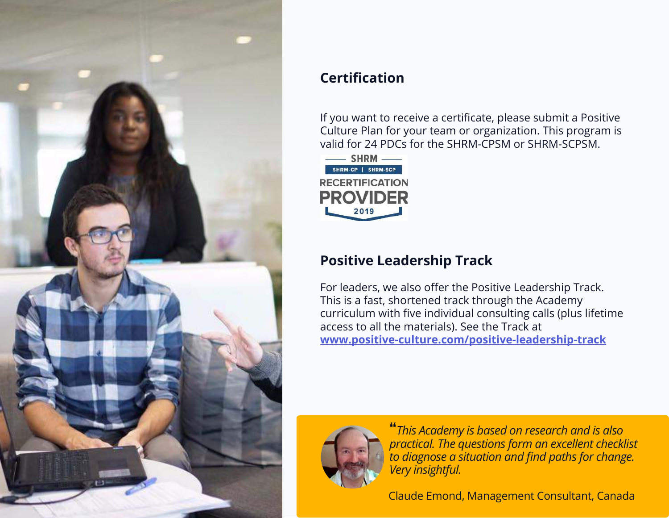

#### **Certification**

If you want to receive a certificate, please submit a Positive Culture Plan for your team or organization. This program is valid for 24 PDCs for the SHRM-CPSM or SHRM-SCPSM.



#### **Positive Leadership Track**

For leaders, we also offer the Positive Leadership Track. This is a fast, shortened track through the Academy curriculum with five individual consulting calls (plus lifetime access to all the materials). See the Track at **www.positive-culture.com/positive-leadership-track**



**"***This Academy is based on research and is also practical. The questions form an excellent checklist to diagnose a situation and find paths for change. Very insightful.*

Claude Emond, Management Consultant, Canada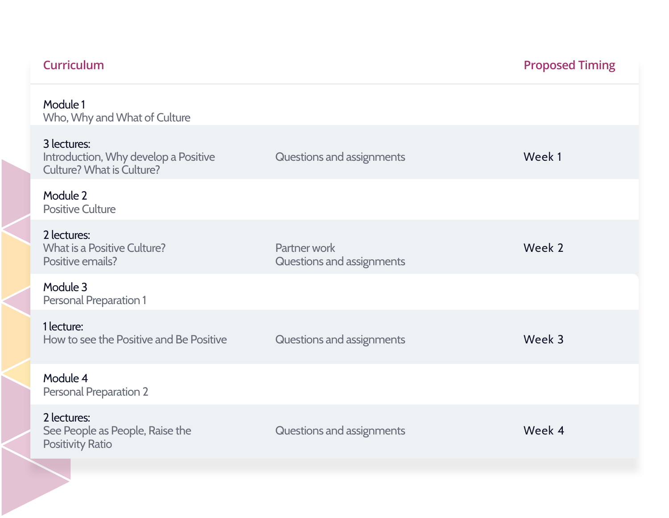| <b>Curriculum</b>                                                                       |                                           | <b>Proposed Timing</b> |
|-----------------------------------------------------------------------------------------|-------------------------------------------|------------------------|
| Module 1<br>Who, Why and What of Culture                                                |                                           |                        |
| 3 lectures:<br>Introduction, Why develop a Positive<br><b>Culture? What is Culture?</b> | Questions and assignments                 | Week 1                 |
| Module 2<br><b>Positive Culture</b>                                                     |                                           |                        |
| 2 lectures:<br>What is a Positive Culture?<br>Positive emails?                          | Partner work<br>Questions and assignments | Week 2                 |
| Module 3<br><b>Personal Preparation 1</b>                                               |                                           |                        |
| 1 lecture:<br>How to see the Positive and Be Positive                                   | Questions and assignments                 | Week 3                 |
| Module 4<br><b>Personal Preparation 2</b>                                               |                                           |                        |
| 2 lectures:<br>See People as People, Raise the<br><b>Positivity Ratio</b>               | Questions and assignments                 | Week 4                 |
|                                                                                         |                                           |                        |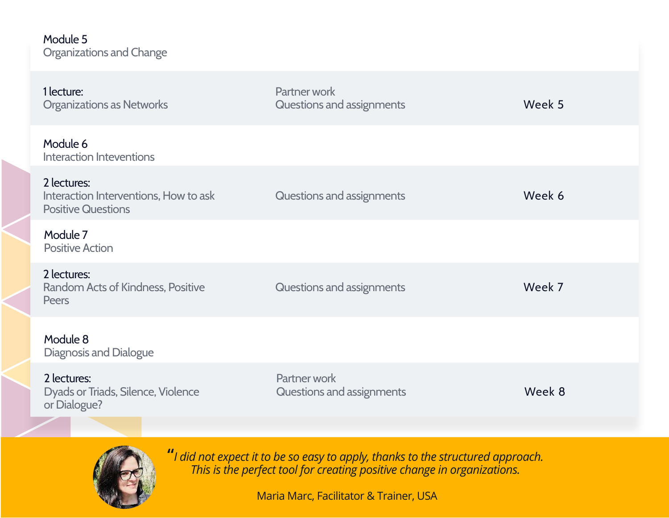#### Module 5 Organizations and Change

| 1 lecture:<br><b>Organizations as Networks</b>                                    | Partner work<br>Questions and assignments | Week 5 |
|-----------------------------------------------------------------------------------|-------------------------------------------|--------|
| Module 6<br><b>Interaction Inteventions</b>                                       |                                           |        |
| 2 lectures:<br>Interaction Interventions, How to ask<br><b>Positive Questions</b> | Questions and assignments                 | Week 6 |
| Module 7<br><b>Positive Action</b>                                                |                                           |        |
| 2 lectures:<br>Random Acts of Kindness, Positive<br>Peers                         | Questions and assignments                 | Week 7 |
| Module 8<br><b>Diagnosis and Dialogue</b>                                         |                                           |        |
| 2 lectures:<br>Dyads or Triads, Silence, Violence<br>or Dialogue?                 | Partner work<br>Questions and assignments | Week 8 |
|                                                                                   |                                           |        |



**"***I did not expect it to be so easy to apply, thanks to the structured approach. This is the perfect tool for creating positive change in organizations.*

Maria Marc, Facilitator & Trainer, USA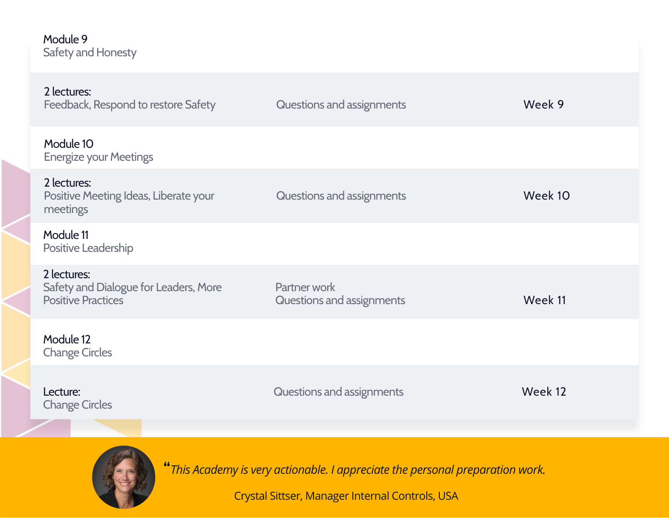#### Module 9 Safety and Honesty

| Questions and assignments                 | Week 9  |
|-------------------------------------------|---------|
|                                           |         |
| Questions and assignments                 | Week 10 |
|                                           |         |
| Partner work<br>Questions and assignments | Week 11 |
|                                           |         |
| Questions and assignments                 | Week 12 |
|                                           |         |



**"***This Academy is very actionable. I appreciate the personal preparation work.*

Crystal Sittser, Manager Internal Controls, USA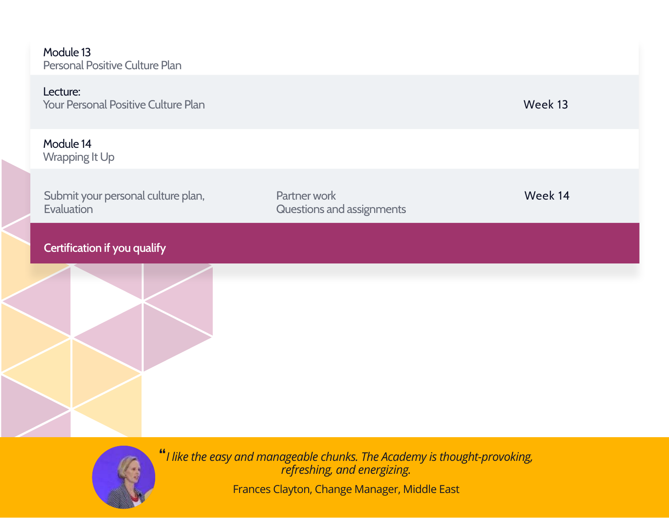Module 13 Personal Positive Culture Plan

#### Lecture:

| <b>Your Personal Positive Culture Plan</b> | Week 13 |
|--------------------------------------------|---------|
|--------------------------------------------|---------|

Module 14 Wrapping It Up

Submit your personal culture plan, **Evaluation** 

Partner work **Week 14** Questions and assignments

#### **Certification if you qualify**



**"***I like the easy and manageable chunks. The Academy is thought-provoking, refreshing, and energizing.*

Frances Clayton, Change Manager, Middle East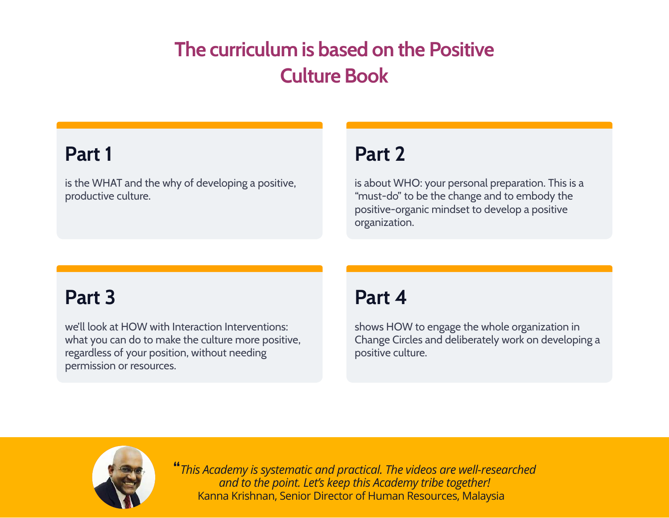## **The curriculum is based on the Positive Culture Book**

### **Part 1**

is the WHAT and the why of developing a positive, productive culture.

## **Part 2**

is about WHO: your personal preparation. This is a "must-do" to be the change and to embody the positive-organic mindset to develop a positive organization.

## **Part 3**

we'll look at HOW with Interaction Interventions: what you can do to make the culture more positive, regardless of your position, without needing permission or resources.

## **Part 4**

shows HOW to engage the whole organization in Change Circles and deliberately work on developing a positive culture.



**"***This Academy is systematic and practical. The videos are well-researched and to the point. Let's keep this Academy tribe together!* Kanna Krishnan, Senior Director of Human Resources, Malaysia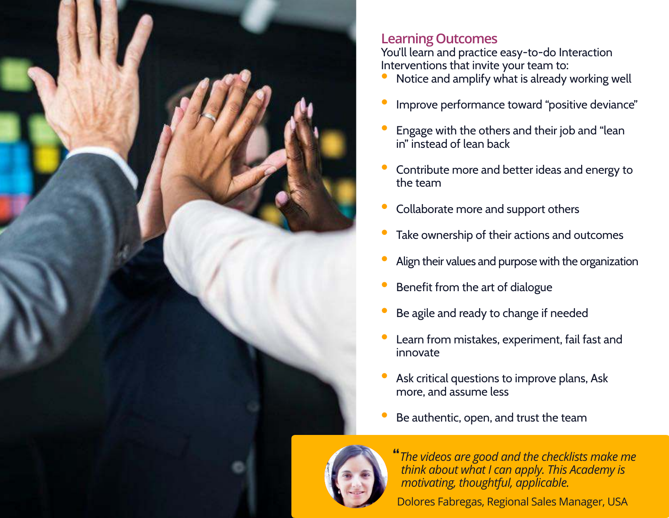

#### **Learning Outcomes**

You'll learn and practice easy-to-do Interaction Interventions that invite your team to:

- Notice and amplify what is already working well
- Improve performance toward "positive deviance"
- Engage with the others and their job and "lean in" instead of lean back
- Contribute more and better ideas and energy to the team
- Collaborate more and support others
- Take ownership of their actions and outcomes
- Align their values and purpose with the organization
- Benefit from the art of dialogue
- Be agile and ready to change if needed
- Learn from mistakes, experiment, fail fast and innovate
- Ask critical questions to improve plans, Ask more, and assume less
- Be authentic, open, and trust the team



**"***The videos are good and the checklists make me think about what I can apply. This Academy is motivating, thoughtful, applicable.* 

Dolores Fabregas, Regional Sales Manager, USA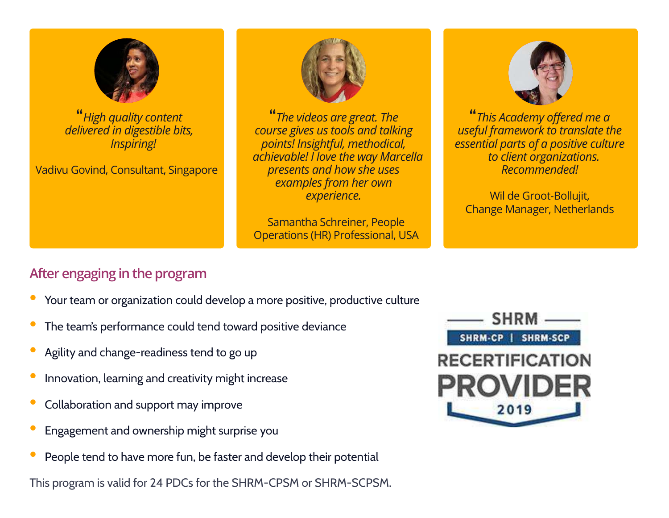

**"***High quality content delivered in digestible bits, Inspiring!*

Vadivu Govind, Consultant, Singapore



**"***The videos are great. The course gives us tools and talking points! Insightful, methodical, achievable! I love the way Marcella presents and how she uses examples from her own experience.*

Samantha Schreiner, People Operations (HR) Professional, USA



**"***This Academy offered me a useful framework to translate the essential parts of a positive culture to client organizations. Recommended!*

Wil de Groot-Bollujit, Change Manager, Netherlands

#### **After engaging in the program**

- Your team or organization could develop a more positive, productive culture
- The team's performance could tend toward positive deviance
- Agility and change-readiness tend to go up
- Innovation, learning and creativity might increase
- Collaboration and support may improve
- Engagement and ownership might surprise you
- People tend to have more fun, be faster and develop their potential

This program is valid for 24 PDCs for the SHRM-CPSM or SHRM-SCPSM.

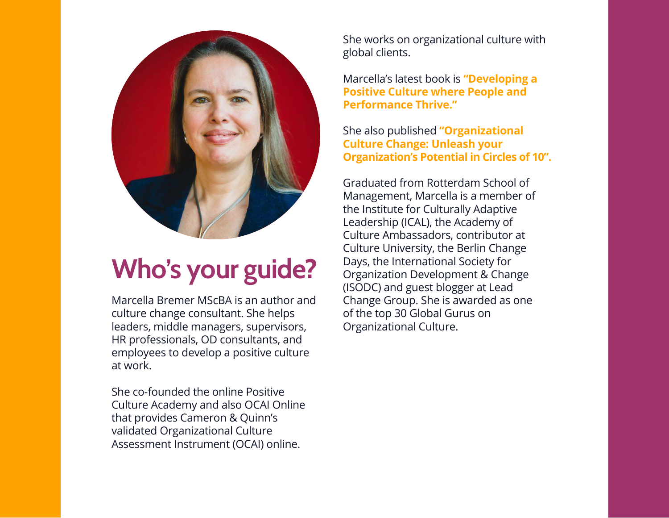

# **Who's your guide?**

Marcella Bremer MScBA is an author and culture change consultant. She helps leaders, middle managers, supervisors, HR professionals, OD consultants, and employees to develop a positive culture at work.

She co-founded the online Positive Culture Academy and also OCAI Online that provides Cameron & Quinn's validated Organizational Culture Assessment Instrument (OCAI) online.

She works on organizational culture with global clients.

Marcella's latest book is **"Developing a Positive Culture where People and Performance Thrive."**

She also published **"Organizational Culture Change: Unleash your Organization's Potential in Circles of 10".**

Graduated from Rotterdam School of Management, Marcella is a member of the Institute for Culturally Adaptive Leadership (ICAL), the Academy of Culture Ambassadors, contributor at Culture University, the Berlin Change Days, the International Society for Organization Development & Change (ISODC) and guest blogger at Lead Change Group. She is awarded as one of the top 30 Global Gurus on Organizational Culture.